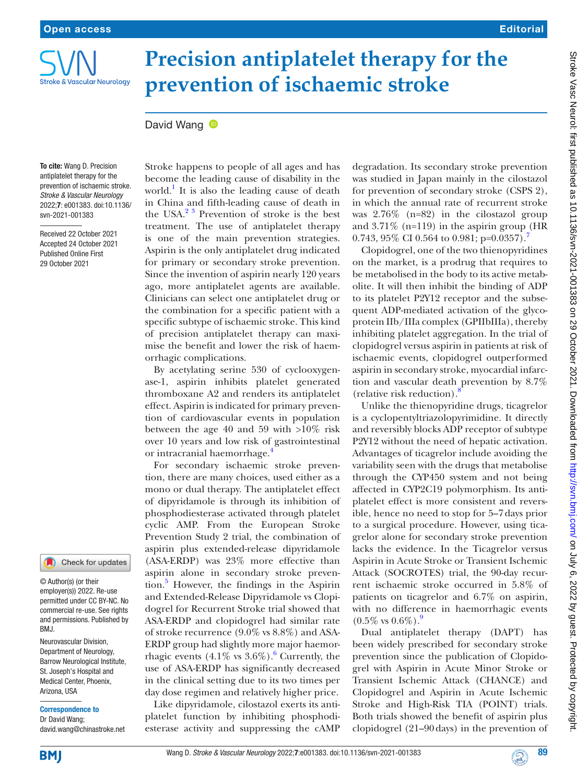

# **Precision antiplatelet therapy for the prevention of ischaemic stroke**

## David Wang **D**

To cite: Wang D. Precision antiplatelet therapy for the prevention of ischaemic stroke. *Stroke & Vascular Neurology* 2022;7: e001383. doi:10.1136/ svn-2021-001383

Received 22 October 2021 Accepted 24 October 2021 Published Online First 29 October 2021

#### Check for updates

© Author(s) (or their employer(s)) 2022. Re-use permitted under CC BY-NC. No commercial re-use. See rights and permissions. Published by BMJ.

Neurovascular Division, Department of Neurology, Barrow Neurological Institute, St. Joseph's Hospital and Medical Center, Phoenix, Arizona, USA

#### Correspondence to

Dr David Wang; david.wang@chinastroke.net Stroke happens to people of all ages and has become the leading cause of disability in the world.<sup>1</sup> It is also the leading cause of death in China and fifth-leading cause of death in the USA. $2^3$  Prevention of stroke is the best treatment. The use of antiplatelet therapy is one of the main prevention strategies. Aspirin is the only antiplatelet drug indicated for primary or secondary stroke prevention. Since the invention of aspirin nearly 120 years ago, more antiplatelet agents are available. Clinicians can select one antiplatelet drug or the combination for a specific patient with a specific subtype of ischaemic stroke. This kind of precision antiplatelet therapy can maximise the benefit and lower the risk of haemorrhagic complications.

By acetylating serine 530 of cyclooxygenase-1, aspirin inhibits platelet generated thromboxane A2 and renders its antiplatelet effect. Aspirin is indicated for primary prevention of cardiovascular events in population between the age 40 and 59 with >10% risk over 10 years and low risk of gastrointestinal or intracranial haemorrhage.<sup>[4](#page-2-2)</sup>

For secondary ischaemic stroke prevention, there are many choices, used either as a mono or dual therapy. The antiplatelet effect of dipyridamole is through its inhibition of phosphodiesterase activated through platelet cyclic AMP. From the European Stroke Prevention Study 2 trial, the combination of aspirin plus extended-release dipyridamole (ASA-ERDP) was 23% more effective than aspirin alone in secondary stroke prevention.<sup>5</sup> However, the findings in the Aspirin and Extended-Release Dipyridamole vs Clopidogrel for Recurrent Stroke trial showed that ASA-ERDP and clopidogrel had similar rate of stroke recurrence (9.0% vs 8.8%) and ASA-ERDP group had slightly more major haemorrhagic events  $(4.1\% \text{ vs } 3.6\%).$  $(4.1\% \text{ vs } 3.6\%).$  $(4.1\% \text{ vs } 3.6\%).$ <sup>6</sup> Currently, the use of ASA-ERDP has significantly decreased in the clinical setting due to its two times per day dose regimen and relatively higher price.

Like dipyridamole, cilostazol exerts its antiplatelet function by inhibiting phosphodiesterase activity and suppressing the cAMP

degradation. Its secondary stroke prevention was studied in Japan mainly in the cilostazol for prevention of secondary stroke (CSPS 2), in which the annual rate of recurrent stroke was 2.76% (n=82) in the cilostazol group and 3.71% (n=119) in the aspirin group (HR 0[.7](#page-2-5)43,  $95\%$  CI 0.564 to 0.981; p=0.0357).

Clopidogrel, one of the two thienopyridines on the market, is a prodrug that requires to be metabolised in the body to its active metabolite. It will then inhibit the binding of ADP to its platelet P2Y12 receptor and the subsequent ADP-mediated activation of the glycoprotein IIb/IIIa complex (GPIIbIIIa), thereby inhibiting platelet aggregation. In the trial of clopidogrel versus aspirin in patients at risk of ischaemic events, clopidogrel outperformed aspirin in secondary stroke, myocardial infarction and vascular death prevention by 8.7% (relative risk reduction). $\frac{8}{3}$  $\frac{8}{3}$  $\frac{8}{3}$ 

Unlike the thienopyridine drugs, ticagrelor is a cyclopentyltriazolopyrimidine. It directly and reversibly blocks ADP receptor of subtype P2Y12 without the need of hepatic activation. Advantages of ticagrelor include avoiding the variability seen with the drugs that metabolise through the CYP450 system and not being affected in CYP2C19 polymorphism. Its antiplatelet effect is more consistent and reversible, hence no need to stop for 5–7days prior to a surgical procedure. However, using ticagrelor alone for secondary stroke prevention lacks the evidence. In the Ticagrelor versus Aspirin in Acute Stroke or Transient Ischemic Attack (SOCROTES) trial, the 90-day recurrent ischaemic stroke occurred in 5.8% of patients on ticagrelor and 6.7% on aspirin, with no difference in haemorrhagic events  $(0.5\% \text{ vs } 0.6\%).$ 

Dual antiplatelet therapy (DAPT) has been widely prescribed for secondary stroke prevention since the publication of Clopidogrel with Aspirin in Acute Minor Stroke or Transient Ischemic Attack (CHANCE) and Clopidogrel and Aspirin in Acute Ischemic Stroke and High-Risk TIA (POINT) trials. Both trials showed the benefit of aspirin plus clopidogrel (21–90days) in the prevention of

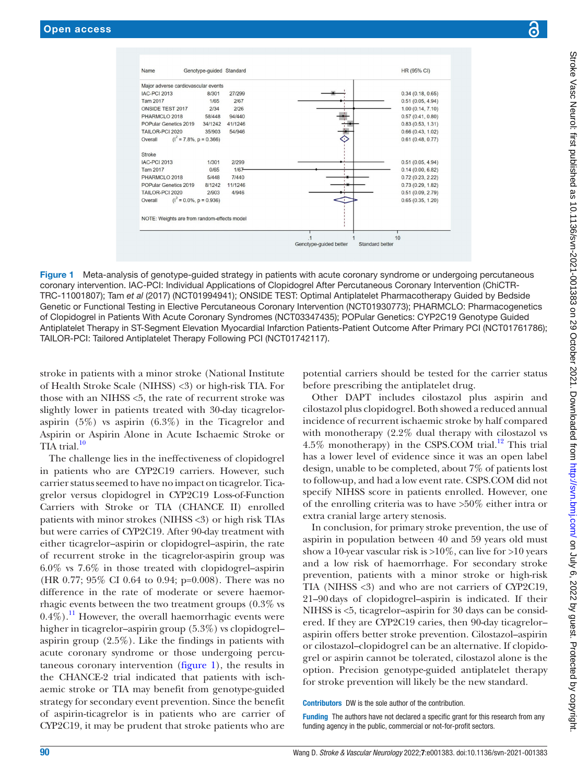

<span id="page-1-0"></span>Figure 1 Meta-analysis of genotype-guided strategy in patients with acute coronary syndrome or undergoing percutaneous coronary intervention. IAC-PCI: Individual Applications of Clopidogrel After Percutaneous Coronary Intervention (ChiCTR-TRC-11001807); Tam *et al* (2017) (NCT01994941); ONSIDE TEST: Optimal Antiplatelet Pharmacotherapy Guided by Bedside Genetic or Functional Testing in Elective Percutaneous Coronary Intervention (NCT01930773); PHARMCLO: Pharmacogenetics of Clopidogrel in Patients With Acute Coronary Syndromes (NCT03347435); POPular Genetics: CYP2C19 Genotype Guided Antiplatelet Therapy in ST-Segment Elevation Myocardial Infarction Patients-Patient Outcome After Primary PCI (NCT01761786); TAILOR-PCI: Tailored Antiplatelet Therapy Following PCI (NCT01742117).

stroke in patients with a minor stroke (National Institute of Health Stroke Scale (NIHSS) <3) or high-risk TIA. For those with an NIHSS <5, the rate of recurrent stroke was slightly lower in patients treated with 30-day ticagreloraspirin (5%) vs aspirin (6.3%) in the Ticagrelor and Aspirin or Aspirin Alone in Acute Ischaemic Stroke or TIA trial. $10$ 

The challenge lies in the ineffectiveness of clopidogrel in patients who are CYP2C19 carriers. However, such carrier status seemed to have no impact on ticagrelor. Ticagrelor versus clopidogrel in CYP2C19 Loss-of-Function Carriers with Stroke or TIA (CHANCE II) enrolled patients with minor strokes (NIHSS <3) or high risk TIAs but were carries of CYP2C19. After 90-day treatment with either ticagrelor–aspirin or clopidogrel–aspirin, the rate of recurrent stroke in the ticagrelor-aspirin group was 6.0% vs 7.6% in those treated with clopidogrel–aspirin (HR 0.77; 95% CI 0.64 to 0.94; p=0.008). There was no difference in the rate of moderate or severe haemorrhagic events between the two treatment groups (0.3% vs  $(0.4\%)$ .<sup>11</sup> However, the overall haemorrhagic events were higher in ticagrelor–aspirin group (5.3%) vs clopidogrel– aspirin group (2.5%). Like the findings in patients with acute coronary syndrome or those undergoing percutaneous coronary intervention ([figure](#page-1-0) 1), the results in the CHANCE-2 trial indicated that patients with ischaemic stroke or TIA may benefit from genotype-guided strategy for secondary event prevention. Since the benefit of aspirin-ticagrelor is in patients who are carrier of CYP2C19, it may be prudent that stroke patients who are

potential carriers should be tested for the carrier status before prescribing the antiplatelet drug.

Other DAPT includes cilostazol plus aspirin and cilostazol plus clopidogrel. Both showed a reduced annual incidence of recurrent ischaemic stroke by half compared with monotherapy (2.2% dual therapy with cilostazol vs 4.5% monotherapy) in the CSPS.COM trial.<sup>12</sup> This trial has a lower level of evidence since it was an open label design, unable to be completed, about 7% of patients lost to follow-up, and had a low event rate. CSPS.COM did not specify NIHSS score in patients enrolled. However, one of the enrolling criteria was to have >50% either intra or extra cranial large artery stenosis.

In conclusion, for primary stroke prevention, the use of aspirin in population between 40 and 59 years old must show a 10-year vascular risk is  $>10\%$ , can live for  $>10$  years and a low risk of haemorrhage. For secondary stroke prevention, patients with a minor stroke or high-risk TIA (NIHSS <3) and who are not carriers of CYP2C19, 21–90days of clopidogrel–aspirin is indicated. If their NIHSS is <5, ticagrelor–aspirin for 30 days can be considered. If they are CYP2C19 caries, then 90-day ticagrelor– aspirin offers better stroke prevention. Cilostazol–aspirin or cilostazol–clopidogrel can be an alternative. If clopidogrel or aspirin cannot be tolerated, cilostazol alone is the option. Precision genotype-guided antiplatelet therapy for stroke prevention will likely be the new standard.

Contributors DW is the sole author of the contribution.

Funding The authors have not declared a specific grant for this research from any funding agency in the public, commercial or not-for-profit sectors.